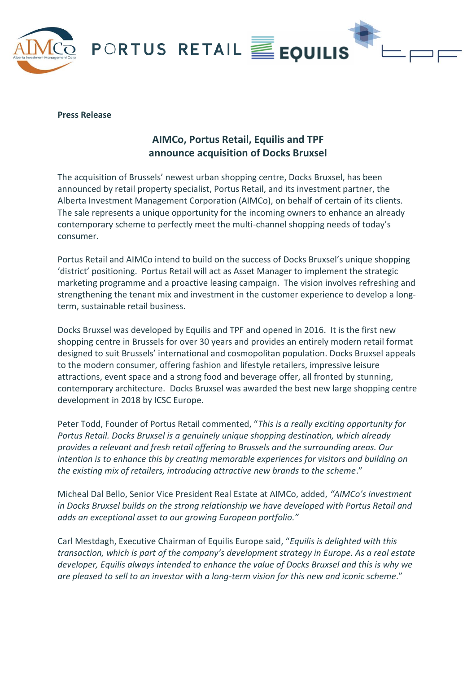

# **Press Release**

# **AIMCo, Portus Retail, Equilis and TPF announce acquisition of Docks Bruxsel**

The acquisition of Brussels' newest urban shopping centre, Docks Bruxsel, has been announced by retail property specialist, Portus Retail, and its investment partner, the Alberta Investment Management Corporation (AIMCo), on behalf of certain of its clients. The sale represents a unique opportunity for the incoming owners to enhance an already contemporary scheme to perfectly meet the multi-channel shopping needs of today's consumer.

Portus Retail and AIMCo intend to build on the success of Docks Bruxsel's unique shopping 'district' positioning. Portus Retail will act as Asset Manager to implement the strategic marketing programme and a proactive leasing campaign. The vision involves refreshing and strengthening the tenant mix and investment in the customer experience to develop a longterm, sustainable retail business.

Docks Bruxsel was developed by Equilis and TPF and opened in 2016. It is the first new shopping centre in Brussels for over 30 years and provides an entirely modern retail format designed to suit Brussels' international and cosmopolitan population. Docks Bruxsel appeals to the modern consumer, offering fashion and lifestyle retailers, impressive leisure attractions, event space and a strong food and beverage offer, all fronted by stunning, contemporary architecture. Docks Bruxsel was awarded the best new large shopping centre development in 2018 by ICSC Europe.

Peter Todd, Founder of Portus Retail commented, "*This is a really exciting opportunity for Portus Retail. Docks Bruxsel is a genuinely unique shopping destination, which already provides a relevant and fresh retail offering to Brussels and the surrounding areas. Our intention is to enhance this by creating memorable experiences for visitors and building on the existing mix of retailers, introducing attractive new brands to the scheme*."

Micheal Dal Bello, Senior Vice President Real Estate at AIMCo, added, *"AIMCo's investment in Docks Bruxsel builds on the strong relationship we have developed with Portus Retail and adds an exceptional asset to our growing European portfolio."*

Carl Mestdagh, Executive Chairman of Equilis Europe said, "*Equilis is delighted with this transaction, which is part of the company's development strategy in Europe. As a real estate developer, Equilis always intended to enhance the value of Docks Bruxsel and this is why we are pleased to sell to an investor with a long-term vision for this new and iconic scheme*."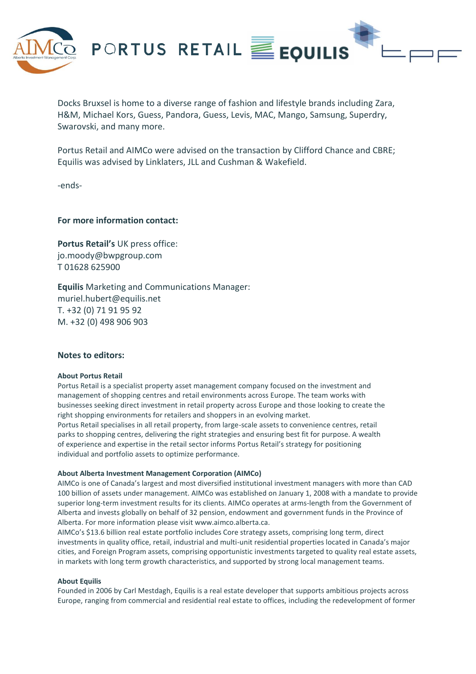

Docks Bruxsel is home to a diverse range of fashion and lifestyle brands including Zara, H&M, Michael Kors, Guess, Pandora, Guess, Levis, MAC, Mango, Samsung, Superdry, Swarovski, and many more.

Portus Retail and AIMCo were advised on the transaction by Clifford Chance and CBRE; Equilis was advised by Linklaters, JLL and Cushman & Wakefield.

-ends-

**For more information contact:**

**Portus Retail's** UK press office: jo.moody@bwpgroup.com T 01628 625900

**Equilis** Marketing and Communications Manager: muriel.hubert@equilis.net T. +32 (0) 71 91 95 92 M. +32 (0) 498 906 903

# **Notes to editors:**

## **About Portus Retail**

Portus Retail is a specialist property asset management company focused on the investment and management of shopping centres and retail environments across Europe. The team works with businesses seeking direct investment in retail property across Europe and those looking to create the right shopping environments for retailers and shoppers in an evolving market. Portus Retail specialises in all retail property, from large-scale assets to convenience centres, retail parks to shopping centres, delivering the right strategies and ensuring best fit for purpose. A wealth of experience and expertise in the retail sector informs Portus Retail's strategy for positioning individual and portfolio assets to optimize performance.

#### **About Alberta Investment Management Corporation (AIMCo)**

AIMCo is one of Canada's largest and most diversified institutional investment managers with more than CAD 100 billion of assets under management. AIMCo was established on January 1, 2008 with a mandate to provide superior long-term investment results for its clients. AIMCo operates at arms-length from the Government of Alberta and invests globally on behalf of 32 pension, endowment and government funds in the Province of Alberta. For more information please visit www.aimco.alberta.ca.

AIMCo's \$13.6 billion real estate portfolio includes Core strategy assets, comprising long term, direct investments in quality office, retail, industrial and multi-unit residential properties located in Canada's major cities, and Foreign Program assets, comprising opportunistic investments targeted to quality real estate assets, in markets with long term growth characteristics, and supported by strong local management teams.

#### **About Equilis**

Founded in 2006 by Carl Mestdagh, Equilis is a real estate developer that supports ambitious projects across Europe, ranging from commercial and residential real estate to offices, including the redevelopment of former